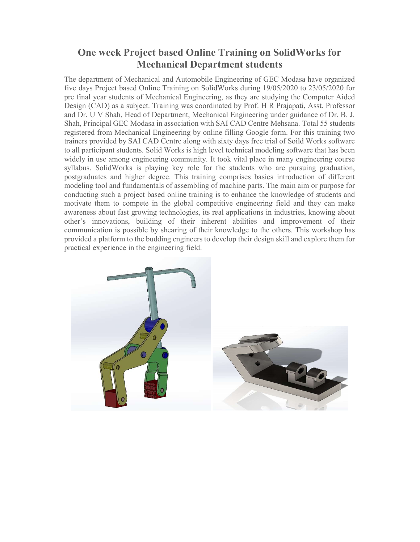## One week Project based Online Training on SolidWorks for Mechanical Department students

The department of Mechanical and Automobile Engineering of GEC Modasa have organized five days Project based Online Training on SolidWorks during 19/05/2020 to 23/05/2020 for pre final year students of Mechanical Engineering, as they are studying the Computer Aided Design (CAD) as a subject. Training was coordinated by Prof. H R Prajapati, Asst. Professor and Dr. U V Shah, Head of Department, Mechanical Engineering under guidance of Dr. B. J. Shah, Principal GEC Modasa in association with SAI CAD Centre Mehsana. Total 55 students registered from Mechanical Engineering by online filling Google form. For this training two trainers provided by SAI CAD Centre along with sixty days free trial of Soild Works software to all participant students. Solid Works is high level technical modeling software that has been widely in use among engineering community. It took vital place in many engineering course syllabus. SolidWorks is playing key role for the students who are pursuing graduation, postgraduates and higher degree. This training comprises basics introduction of different modeling tool and fundamentals of assembling of machine parts. The main aim or purpose for conducting such a project based online training is to enhance the knowledge of students and motivate them to compete in the global competitive engineering field and they can make awareness about fast growing technologies, its real applications in industries, knowing about other's innovations, building of their inherent abilities and improvement of their communication is possible by shearing of their knowledge to the others. This workshop has provided a platform to the budding engineers to develop their design skill and explore them for practical experience in the engineering field.